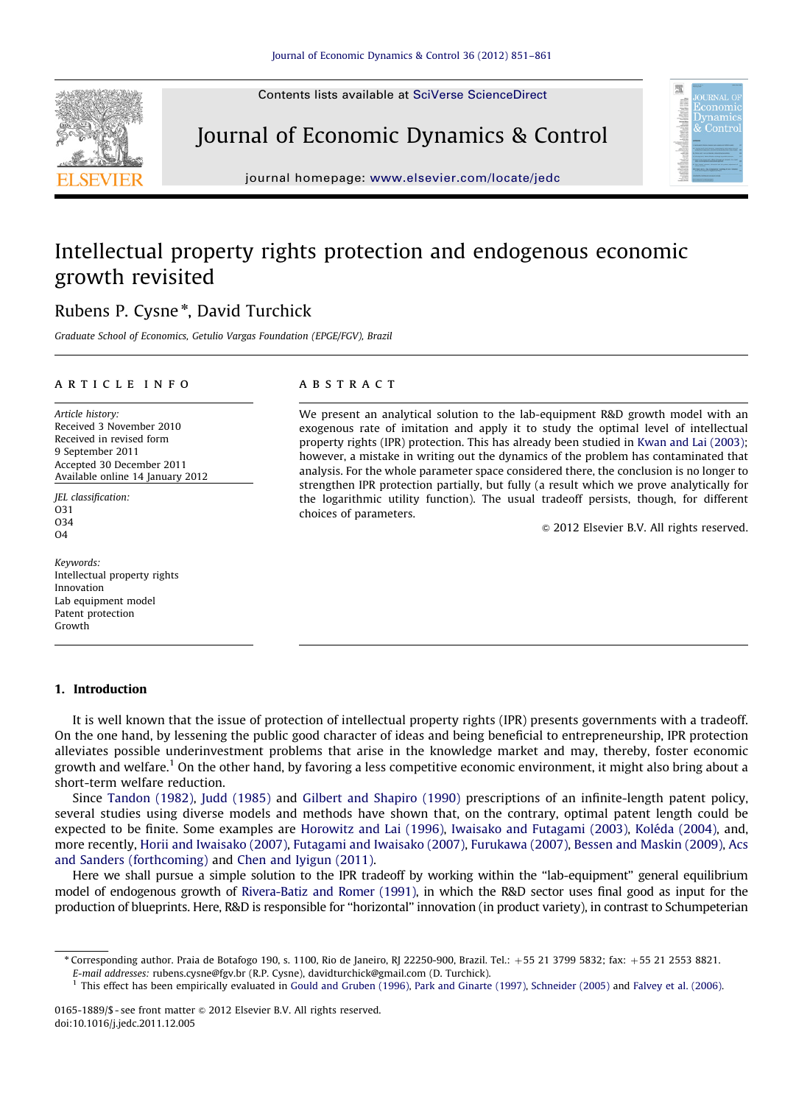Contents lists available at [SciVerse ScienceDirect](www.elsevier.com/locate/jedc)



Journal of Economic Dynamics & Control



journal homepage: <www.elsevier.com/locate/jedc>

## Intellectual property rights protection and endogenous economic growth revisited

### Rubens P. Cysne<sup>\*</sup>, David Turchick

Graduate School of Economics, Getulio Vargas Foundation (EPGE/FGV), Brazil

#### article info

Article history: Received 3 November 2010 Received in revised form 9 September 2011 Accepted 30 December 2011 Available online 14 January 2012

JEL classification: O31 O34  $O<sub>4</sub>$ 

Keywords: Intellectual property rights Innovation Lab equipment model Patent protection Growth

#### 1. Introduction

#### **ABSTRACT**

We present an analytical solution to the lab-equipment R&D growth model with an exogenous rate of imitation and apply it to study the optimal level of intellectual property rights (IPR) protection. This has already been studied in [Kwan and Lai \(2003\)](#page--1-0); however, a mistake in writing out the dynamics of the problem has contaminated that analysis. For the whole parameter space considered there, the conclusion is no longer to strengthen IPR protection partially, but fully (a result which we prove analytically for the logarithmic utility function). The usual tradeoff persists, though, for different choices of parameters.

 $\odot$  2012 Elsevier B.V. All rights reserved.

It is well known that the issue of protection of intellectual property rights (IPR) presents governments with a tradeoff. On the one hand, by lessening the public good character of ideas and being beneficial to entrepreneurship, IPR protection alleviates possible underinvestment problems that arise in the knowledge market and may, thereby, foster economic growth and welfare.1 On the other hand, by favoring a less competitive economic environment, it might also bring about a short-term welfare reduction.

Since [Tandon \(1982\)](#page--1-0), [Judd \(1985\)](#page--1-0) and [Gilbert and Shapiro \(1990\)](#page--1-0) prescriptions of an infinite-length patent policy, several studies using diverse models and methods have shown that, on the contrary, optimal patent length could be expected to be finite. Some examples are [Horowitz and Lai \(1996\)](#page--1-0), [Iwaisako and Futagami \(2003\)](#page--1-0), Koléda (2004), and, more recently, [Horii and Iwaisako \(2007\)](#page--1-0), [Futagami and Iwaisako \(2007\),](#page--1-0) [Furukawa \(2007\),](#page--1-0) [Bessen and Maskin \(2009\),](#page--1-0) [Acs](#page--1-0) [and Sanders \(forthcoming\)](#page--1-0) and [Chen and Iyigun \(2011\)](#page--1-0).

Here we shall pursue a simple solution to the IPR tradeoff by working within the ''lab-equipment'' general equilibrium model of endogenous growth of [Rivera-Batiz and Romer \(1991\),](#page--1-0) in which the R&D sector uses final good as input for the production of blueprints. Here, R&D is responsible for ''horizontal'' innovation (in product variety), in contrast to Schumpeterian

<sup>n</sup> Corresponding author. Praia de Botafogo 190, s. 1100, Rio de Janeiro, RJ 22250-900, Brazil. Tel.: þ55 21 3799 5832; fax: þ55 21 2553 8821. E-mail addresses: [rubens.cysne@fgv.br \(R.P. Cysne\),](mailto:rubens.cysne@fgv.br) [davidturchick@gmail.com \(D. Turchick\).](mailto:davidturchick@gmail.com)

<sup>1</sup> This effect has been empirically evaluated in [Gould and Gruben \(1996\)](#page--1-0), [Park and Ginarte \(1997\),](#page--1-0) [Schneider \(2005\)](#page--1-0) and [Falvey et al. \(2006\)](#page--1-0).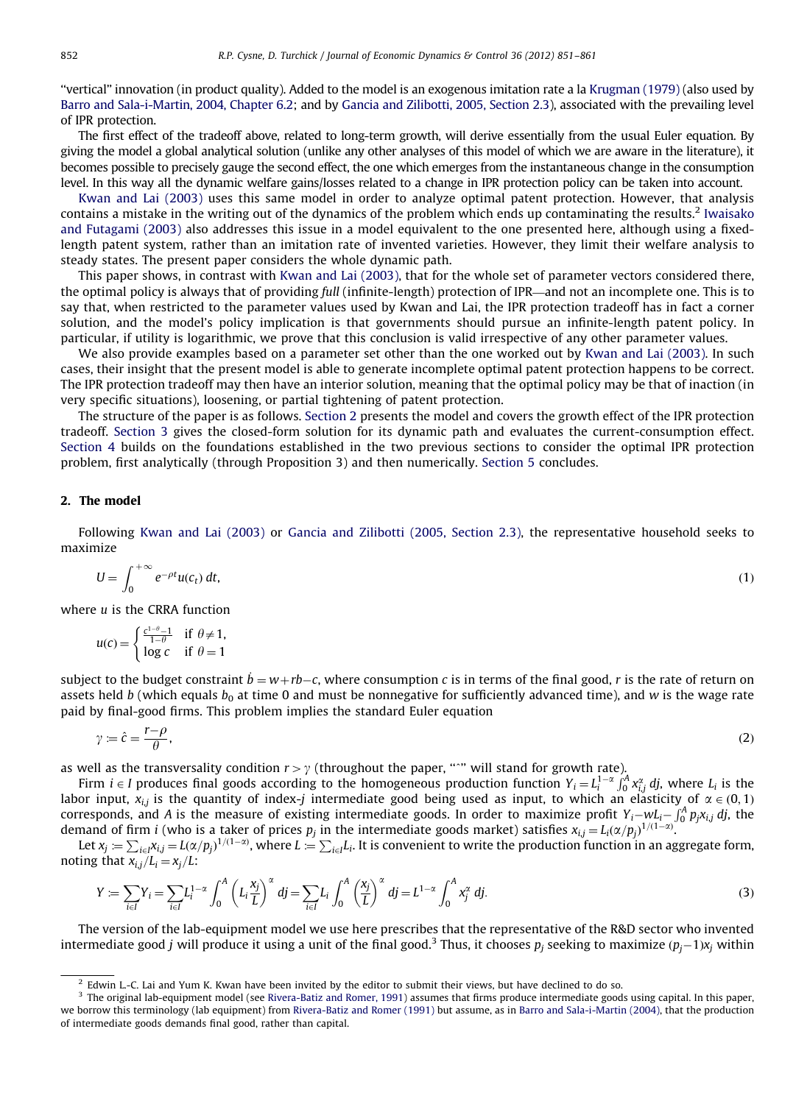''vertical'' innovation (in product quality). Added to the model is an exogenous imitation rate a la [Krugman \(1979\)](#page--1-0) (also used by [Barro and Sala-i-Martin, 2004, Chapter 6.2](#page--1-0); and by [Gancia and Zilibotti, 2005, Section 2.3](#page--1-0)), associated with the prevailing level of IPR protection.

The first effect of the tradeoff above, related to long-term growth, will derive essentially from the usual Euler equation. By giving the model a global analytical solution (unlike any other analyses of this model of which we are aware in the literature), it becomes possible to precisely gauge the second effect, the one which emerges from the instantaneous change in the consumption level. In this way all the dynamic welfare gains/losses related to a change in IPR protection policy can be taken into account.

[Kwan and Lai \(2003\)](#page--1-0) uses this same model in order to analyze optimal patent protection. However, that analysis contains a mistake in the writing out of the dynamics of the problem which ends up contaminating the results.<sup>2</sup> [Iwaisako](#page--1-0) [and Futagami \(2003\)](#page--1-0) also addresses this issue in a model equivalent to the one presented here, although using a fixedlength patent system, rather than an imitation rate of invented varieties. However, they limit their welfare analysis to steady states. The present paper considers the whole dynamic path.

This paper shows, in contrast with [Kwan and Lai \(2003\)](#page--1-0), that for the whole set of parameter vectors considered there, the optimal policy is always that of providing full (infinite-length) protection of IPR—and not an incomplete one. This is to say that, when restricted to the parameter values used by Kwan and Lai, the IPR protection tradeoff has in fact a corner solution, and the model's policy implication is that governments should pursue an infinite-length patent policy. In particular, if utility is logarithmic, we prove that this conclusion is valid irrespective of any other parameter values.

We also provide examples based on a parameter set other than the one worked out by [Kwan and Lai \(2003\)](#page--1-0). In such cases, their insight that the present model is able to generate incomplete optimal patent protection happens to be correct. The IPR protection tradeoff may then have an interior solution, meaning that the optimal policy may be that of inaction (in very specific situations), loosening, or partial tightening of patent protection.

The structure of the paper is as follows. Section 2 presents the model and covers the growth effect of the IPR protection tradeoff. [Section 3](#page--1-0) gives the closed-form solution for its dynamic path and evaluates the current-consumption effect. [Section 4](#page--1-0) builds on the foundations established in the two previous sections to consider the optimal IPR protection problem, first analytically (through Proposition 3) and then numerically. [Section 5](#page--1-0) concludes.

#### 2. The model

Following [Kwan and Lai \(2003\)](#page--1-0) or [Gancia and Zilibotti \(2005, Section 2.3\)](#page--1-0), the representative household seeks to maximize

$$
U = \int_0^{+\infty} e^{-\rho t} u(c_t) dt,
$$
 (1)

where u is the CRRA function

$$
u(c) = \begin{cases} \frac{c^{1-\theta}-1}{1-\theta} & \text{if } \theta \neq 1, \\ \log c & \text{if } \theta = 1 \end{cases}
$$

subject to the budget constraint  $\dot{b} = w + rb - c$ , where consumption c is in terms of the final good, r is the rate of return on assets held b (which equals  $b_0$  at time 0 and must be nonnegative for sufficiently advanced time), and w is the wage rate paid by final-good firms. This problem implies the standard Euler equation

$$
\gamma = \hat{c} = \frac{r - \rho}{\theta},\tag{2}
$$

as well as the transversality condition  $r>\gamma$  (throughout the paper, "'" will stand for growth rate).

Firm  $i \in I$  produces final goods according to the homogeneous production function  $Y_i = L_i^{1-\alpha} \int_0^A x_i^{\alpha} d_j$ , where  $L_i$  is the labor input,  $x_{i,j}$  is the quantity of index-j intermediate good being used as input, to which an elasticity of  $\alpha \in (0,1)$ corresponds, and A is the measure of existing intermediate goods. In order to maximize profit  $Y_i$ - $wL_i$ - $\int_0^A p_j x_{i,j}$  dj, the demand of firm *i* (who is a taker of prices  $p_j$  in the intermediate goods market) satisfies  $x_{i,j} = L_i(\alpha/p_j)^{1/(1-\alpha)}$ .<br>Let  $x_j = \sum_{i \in I} x_{i,j} = L(\alpha/p_j)^{1/(1-\alpha)}$ , where  $L = \sum_{i \in I} L_i$ . It is convenient to write the production fu

noting that  $x_{i,j}/L_i=x_j/L$ :

$$
Y := \sum_{i \in I} Y_i = \sum_{i \in I} L_i^{1-\alpha} \int_0^A \left( L_i \frac{x_j}{L} \right)^{\alpha} dj = \sum_{i \in I} L_i \int_0^A \left( \frac{x_j}{L} \right)^{\alpha} dj = L^{1-\alpha} \int_0^A x_j^{\alpha} dj.
$$
 (3)

The version of the lab-equipment model we use here prescribes that the representative of the R&D sector who invented intermediate good  $j$  will produce it using a unit of the final good.<sup>3</sup> Thus, it chooses  $p_j$  seeking to maximize  $(p_j-1)x_j$  within

 $<sup>2</sup>$  Edwin L.-C. Lai and Yum K. Kwan have been invited by the editor to submit their views, but have declined to do so.</sup>

<sup>&</sup>lt;sup>3</sup> The original lab-equipment model (see [Rivera-Batiz and Romer, 1991](#page--1-0)) assumes that firms produce intermediate goods using capital. In this paper, we borrow this terminology (lab equipment) from [Rivera-Batiz and Romer \(1991\)](#page--1-0) but assume, as in [Barro and Sala-i-Martin \(2004\),](#page--1-0) that the production of intermediate goods demands final good, rather than capital.